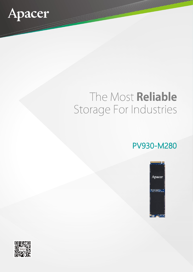

## The Most Reliable Storage For Industries

## PV930-M280



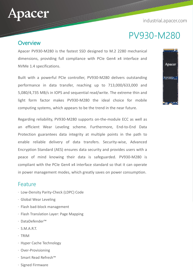industrial.apacer.com



## PV930-M280

#### **Overview**

Apacer PV930-M280 is the fastest SSD designed to M.2 2280 mechanical dimensions, providing full compliance with PCIe Gen4 x4 interface and NVMe 1.4 specifications.

Built with a powerful PCIe controller, PV930-M280 delivers outstanding performance in data transfer, reaching up to 713,000/633,000 and 5,080/4,735 MB/s in IOPS and sequential read/write. The extreme thin and light form factor makes PV930-M280 the ideal choice for mobile computing systems, which appears to be the trend in the near future.

Regarding reliability, PV930-M280 supports on-the-module ECC as well as an efficient Wear Leveling scheme. Furthermore, End-to-End Data Protection guarantees data integrity at multiple points in the path to enable reliable delivery of data transfers. Security-wise, Advanced Encryption Standard (AES) ensures data security and provides users with a peace of mind knowing their data is safeguarded. PV930-M280 is compliant with the PCIe Gen4 x4 interface standard so that it can operate in power management modes, which greatly saves on power consumption.

#### Feature

- ‧ Low-Density Parity-Check (LDPC) Code
- ‧ Global Wear Leveling
- ‧ Flash bad-block management
- ‧ Flash Translation Layer: Page Mapping
- ‧ DataDefender™
- $\cdot$  S.M.A.R.T.
- ‧ TRIM
- ‧ Hyper Cache Technology
- ‧ Over-Provisioning
- ‧ Smart Read Refresh™
- ‧ Signed Firmware

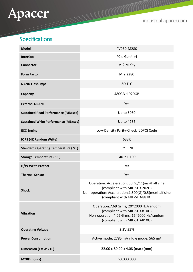# Apacer

industrial.apacer.com

## Specifications

| <b>Model</b>                                | PV930-M280                                                                                                                                                                   |
|---------------------------------------------|------------------------------------------------------------------------------------------------------------------------------------------------------------------------------|
| <b>Interface</b>                            | PCIe Gen4 x4                                                                                                                                                                 |
| <b>Connector</b>                            | M.2 M Key                                                                                                                                                                    |
| <b>Form Factor</b>                          | M.2 2280                                                                                                                                                                     |
| <b>NAND Flash Type</b>                      | 3D TLC                                                                                                                                                                       |
| Capacity                                    | 480GB~1920GB                                                                                                                                                                 |
| <b>External DRAM</b>                        | Yes                                                                                                                                                                          |
| <b>Sustained Read Performance (MB/sec)</b>  | Up to 5080                                                                                                                                                                   |
| <b>Sustained Write Performance (MB/sec)</b> | Up to 4735                                                                                                                                                                   |
| <b>ECC Engine</b>                           | Low-Density Parity-Check (LDPC) Code                                                                                                                                         |
| <b>IOPS (4K Random Write)</b>               | 633K                                                                                                                                                                         |
| <b>Standard Operating Temperature (°C)</b>  | $0^{\sim}$ + 70                                                                                                                                                              |
| Storage Temperature ( °C )                  | $-40$ ~ + 100                                                                                                                                                                |
| <b>H/W Write Protect</b>                    | Yes                                                                                                                                                                          |
| <b>Thermal Sensor</b>                       | Yes                                                                                                                                                                          |
| <b>Shock</b>                                | Operation: Acceleration, 50(G)/11(ms)/half sine<br>(compliant with MIL-STD-202G)<br>Non-operation: Acceleration, 1,500(G)/0.5(ms)/half sine<br>(compliant with MIL-STD-883K) |
| <b>Vibration</b>                            | Operation: 7.69 Grms, 20~2000 Hz/random<br>(compliant with MIL-STD-810G)<br>Non-operation: 4.02 Grms, 15~2000 Hz/random<br>(compliant with MIL-STD-810G)                     |
| <b>Operating Voltage</b>                    | 3.3V ±5%                                                                                                                                                                     |
| <b>Power Consumption</b>                    | Active mode: 2785 mA / Idle mode: 565 mA                                                                                                                                     |
| Dimension (L x W x H)                       | 22.00 x 80.00 x 4.08 (max) (mm)                                                                                                                                              |
| <b>MTBF (hours)</b>                         | >3,000,000                                                                                                                                                                   |